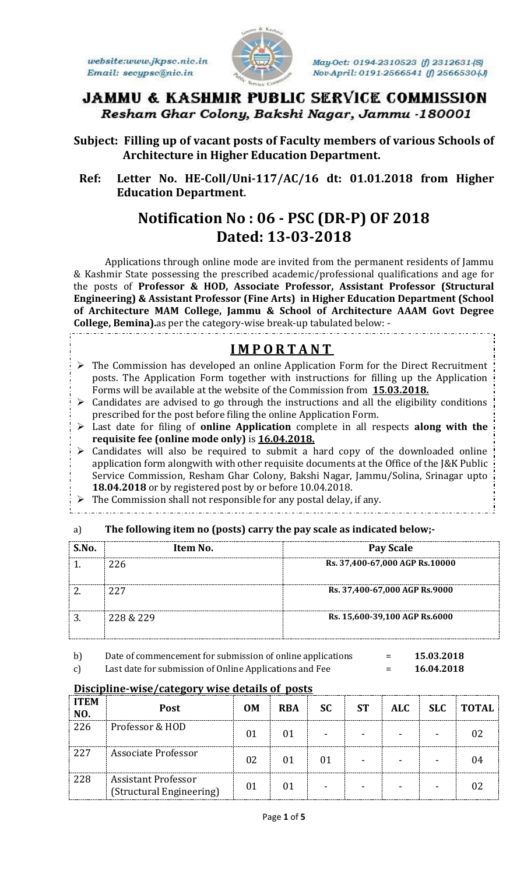website:www.jkpsc.nic.in Email: secypsc@nic.in



May-Oct: 0194-2310523 (f) 2312631-(S) Nov-April: 0191-2566541 (f) 2566530-(J)

# JAMMU & KASHMIR PUBLIC SERVICE COMMISSION Resham Ghar Colony, Bakshi Nagar, Jammu -180001

**Subject: Filling up of vacant posts of Faculty members of various Schools of Architecture in Higher Education Department.**

 **Ref: Letter No. HE-Coll/Uni-117/AC/16 dt: 01.01.2018 from Higher Education Department.**

# **Notification No : 06 - PSC (DR-P) OF 2018 Dated: 13-03-2018**

Applications through online mode are invited from the permanent residents of Jammu & Kashmir State possessing the prescribed academic/professional qualifications and age for the posts of **Professor & HOD, Associate Professor, Assistant Professor (Structural Engineering) & Assistant Professor (Fine Arts) in Higher Education Department (School of Architecture MAM College, Jammu & School of Architecture AAAM Govt Degree College, Bemina).**as per the category-wise break-up tabulated below: -

# **I M P O R T A N T**

- $\triangleright$  The Commission has developed an online Application Form for the Direct Recruitment posts. The Application Form together with instructions for filling up the Application Forms will be available at the website of the Commission from **15**.**03.2018.**
- $\triangleright$  Candidates are advised to go through the instructions and all the eligibility conditions prescribed for the post before filing the online Application Form.
- Last date for filing of **online Application** complete in all respects **along with the requisite fee (online mode only)** is **16.04.2018.**
- $\triangleright$  Candidates will also be required to submit a hard copy of the downloaded online application form alongwith with other requisite documents at the Office of the J&K Public Service Commission, Resham Ghar Colony, Bakshi Nagar, Jammu/Solina, Srinagar upto **18.04.2018** or by registered post by or before 10.04.2018.
- $\triangleright$  The Commission shall not responsible for any postal delay, if any.
- 

#### a) **The following item no (posts) carry the pay scale as indicated below;-**

| S.No. | Item No.  | Pay Scale                       |
|-------|-----------|---------------------------------|
|       | 226       | Rs. 37,400-67,000 AGP Rs. 10000 |
|       | 227       | Rs. 37,400-67,000 AGP Rs.9000   |
| 3     | 228 & 229 | Rs. 15,600-39,100 AGP Rs.6000   |

b) Date of commencement for submission of online applications = **15.03.2018** c) Last date for submission of Online Applications and Fee = **16.04.2018**

| <b>ITEM</b><br>NO. | <b>Post</b>                                            | <b>OM</b> | <b>RBA</b> | <b>SC</b>                | <b>ST</b> | <b>ALC</b> | <b>SLC</b> | <b>TOTAL</b> |
|--------------------|--------------------------------------------------------|-----------|------------|--------------------------|-----------|------------|------------|--------------|
| 226                | Professor & HOD                                        | 01        | 01         | $\overline{\phantom{0}}$ |           |            |            |              |
| 227                | Associate Professor                                    | 02        | 01         | 01                       |           |            |            | 04           |
| 228                | <b>Assistant Professor</b><br>(Structural Engineering) | 01        | 01         | $\overline{\phantom{a}}$ |           |            |            |              |

# **Discipline-wise/category wise details of posts**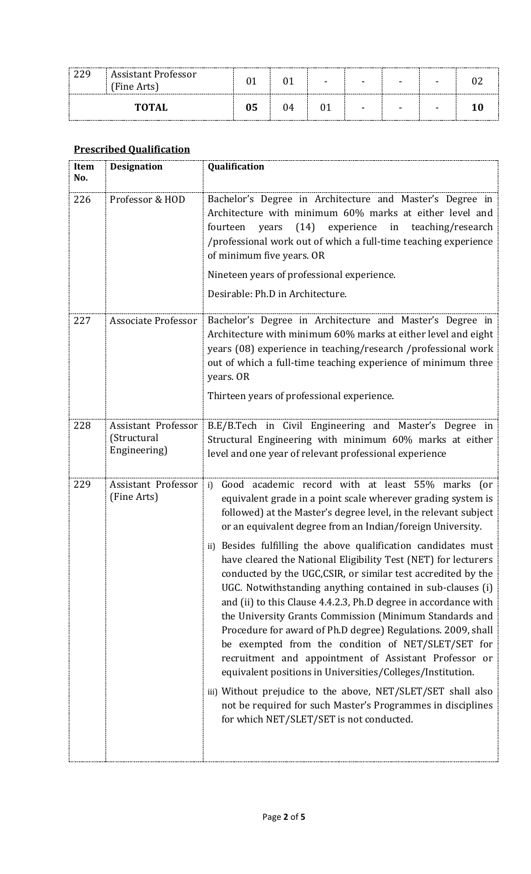| 229 | <b>Assistant Professor</b><br>(Fine Arts) |    |    | - | - |  |
|-----|-------------------------------------------|----|----|---|---|--|
|     | <b>TOTAL</b>                              | 05 | 14 | - | - |  |

## **Prescribed Qualification**

| Item<br>No. | <b>Designation</b>                                        | Qualification                                                                                                                                                                                                                                                                                                                                                                                                                                                                                                                                                                                                                                                                                                                                                                                                                                                                                                                                                                                                                                                                    |
|-------------|-----------------------------------------------------------|----------------------------------------------------------------------------------------------------------------------------------------------------------------------------------------------------------------------------------------------------------------------------------------------------------------------------------------------------------------------------------------------------------------------------------------------------------------------------------------------------------------------------------------------------------------------------------------------------------------------------------------------------------------------------------------------------------------------------------------------------------------------------------------------------------------------------------------------------------------------------------------------------------------------------------------------------------------------------------------------------------------------------------------------------------------------------------|
| 226         | Professor & HOD                                           | Bachelor's Degree in Architecture and Master's Degree in<br>Architecture with minimum 60% marks at either level and<br>(14) experience in teaching/research<br>fourteen<br>years<br>/professional work out of which a full-time teaching experience<br>of minimum five years. OR<br>Nineteen years of professional experience.<br>Desirable: Ph.D in Architecture.                                                                                                                                                                                                                                                                                                                                                                                                                                                                                                                                                                                                                                                                                                               |
| 227         | <b>Associate Professor</b>                                | Bachelor's Degree in Architecture and Master's Degree in<br>Architecture with minimum 60% marks at either level and eight<br>years (08) experience in teaching/research /professional work<br>out of which a full-time teaching experience of minimum three<br>years. OR<br>Thirteen years of professional experience.                                                                                                                                                                                                                                                                                                                                                                                                                                                                                                                                                                                                                                                                                                                                                           |
| 228         | <b>Assistant Professor</b><br>(Structural<br>Engineering) | B.E/B.Tech in Civil Engineering and Master's Degree in<br>Structural Engineering with minimum 60% marks at either<br>level and one year of relevant professional experience                                                                                                                                                                                                                                                                                                                                                                                                                                                                                                                                                                                                                                                                                                                                                                                                                                                                                                      |
| 229         | Assistant Professor<br>(Fine Arts)                        | Good academic record with at least 55% marks (or<br>i)<br>equivalent grade in a point scale wherever grading system is<br>followed) at the Master's degree level, in the relevant subject<br>or an equivalent degree from an Indian/foreign University.<br>ii) Besides fulfilling the above qualification candidates must<br>have cleared the National Eligibility Test (NET) for lecturers<br>conducted by the UGC, CSIR, or similar test accredited by the<br>UGC. Notwithstanding anything contained in sub-clauses (i)<br>and (ii) to this Clause 4.4.2.3, Ph.D degree in accordance with<br>the University Grants Commission (Minimum Standards and<br>Procedure for award of Ph.D degree) Regulations. 2009, shall<br>be exempted from the condition of NET/SLET/SET for<br>recruitment and appointment of Assistant Professor or<br>equivalent positions in Universities/Colleges/Institution.<br>iii) Without prejudice to the above, NET/SLET/SET shall also<br>not be required for such Master's Programmes in disciplines<br>for which NET/SLET/SET is not conducted. |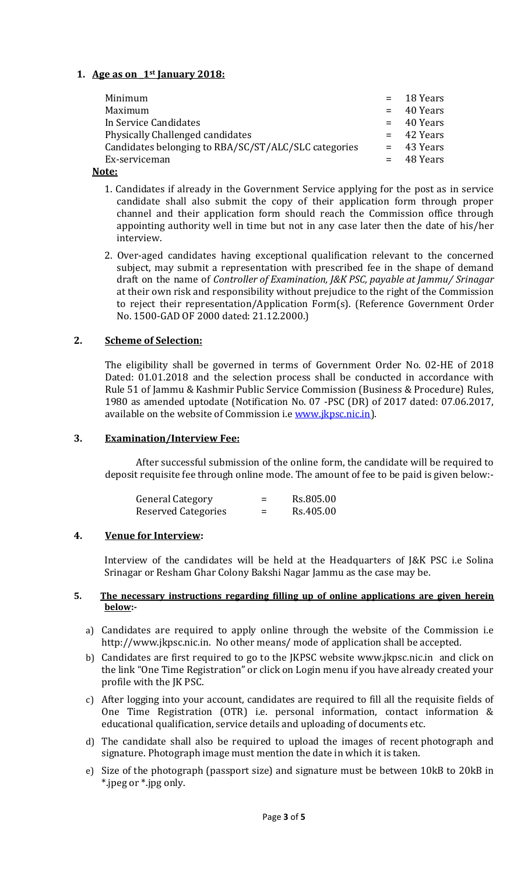### **1. Age as on \_1st January 2018:**

| Minimum                                              | $=$ 18 Years |
|------------------------------------------------------|--------------|
| Maximum                                              | $=$ 40 Years |
| In Service Candidates                                | $=$ 40 Years |
| Physically Challenged candidates                     | $=$ 42 Years |
| Candidates belonging to RBA/SC/ST/ALC/SLC categories | $=$ 43 Years |
| Ex-serviceman                                        | $=$ 48 Years |
|                                                      |              |

#### **Note:**

- 1. Candidates if already in the Government Service applying for the post as in service candidate shall also submit the copy of their application form through proper channel and their application form should reach the Commission office through appointing authority well in time but not in any case later then the date of his/her interview.
- 2. Over-aged candidates having exceptional qualification relevant to the concerned subject, may submit a representation with prescribed fee in the shape of demand draft on the name of *Controller of Examination, J&K PSC, payable at Jammu/ Srinagar* at their own risk and responsibility without prejudice to the right of the Commission to reject their representation/Application Form(s). (Reference Government Order No. 1500-GAD OF 2000 dated: 21.12.2000.)

#### **2. Scheme of Selection:**

The eligibility shall be governed in terms of Government Order No. 02-HE of 2018 Dated: 01.01.2018 and the selection process shall be conducted in accordance with Rule 51 of Jammu & Kashmir Public Service Commission (Business & Procedure) Rules, 1980 as amended uptodate (Notification No. 07 -PSC (DR) of 2017 dated: 07.06.2017, available on the website of Commission i.e [www.jkpsc.nic.in\)](http://www.jkpsc.nic.in/).

#### **3. Examination/Interview Fee:**

After successful submission of the online form, the candidate will be required to deposit requisite fee through online mode. The amount of fee to be paid is given below:-

| <b>General Category</b> | $=$      | Rs.805.00 |
|-------------------------|----------|-----------|
| Reserved Categories     | $\equiv$ | Rs.405.00 |

#### **4. Venue for Interview:**

Interview of the candidates will be held at the Headquarters of J&K PSC i.e Solina Srinagar or Resham Ghar Colony Bakshi Nagar Jammu as the case may be.

#### **5. The necessary instructions regarding filling up of online applications are given herein below:-**

- a) Candidates are required to apply online through the website of the Commission i.e [http://www.jkpsc.nic.in.](http://www.jkpsc.nic.in/) No other means/ mode of application shall be accepted.
- b) Candidates are first required to go to the JKPSC website [www.jkpsc.nic.in](http://www.jkpsc.nic.in/) and click on the link "One Time Registration" or click on Login menu if you have already created your profile with the JK PSC.
- c) After logging into your account, candidates are required to fill all the requisite fields of One Time Registration (OTR) i.e. personal information, contact information & educational qualification, service details and uploading of documents etc.
- d) The candidate shall also be required to upload the images of recent photograph and signature. Photograph image must mention the date in which it is taken.
- e) Size of the photograph (passport size) and signature must be between 10kB to 20kB in \*.jpeg or \*.jpg only.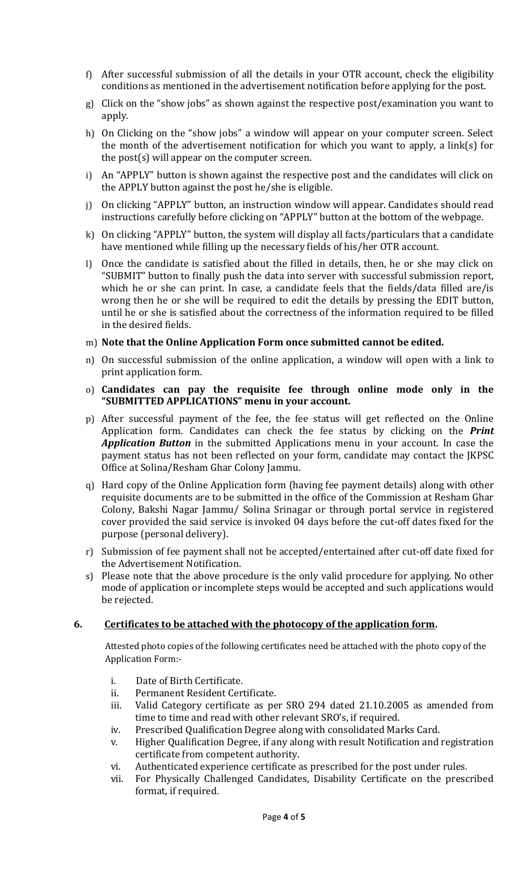- f) After successful submission of all the details in your OTR account, check the eligibility conditions as mentioned in the advertisement notification before applying for the post.
- g) Click on the "show jobs" as shown against the respective post/examination you want to apply.
- h) On Clicking on the "show jobs" a window will appear on your computer screen. Select the month of the advertisement notification for which you want to apply, a link(s) for the post(s) will appear on the computer screen.
- i) An "APPLY" button is shown against the respective post and the candidates will click on the APPLY button against the post he/she is eligible.
- j) On clicking "APPLY" button, an instruction window will appear. Candidates should read instructions carefully before clicking on "APPLY" button at the bottom of the webpage.
- k) On clicking "APPLY" button, the system will display all facts/particulars that a candidate have mentioned while filling up the necessary fields of his/her OTR account.
- l) Once the candidate is satisfied about the filled in details, then, he or she may click on "SUBMIT" button to finally push the data into server with successful submission report, which he or she can print. In case, a candidate feels that the fields/data filled are/is wrong then he or she will be required to edit the details by pressing the EDIT button, until he or she is satisfied about the correctness of the information required to be filled in the desired fields.

#### m) **Note that the Online Application Form once submitted cannot be edited.**

- n) On successful submission of the online application, a window will open with a link to print application form.
- o) **Candidates can pay the requisite fee through online mode only in the "SUBMITTED APPLICATIONS" menu in your account.**
- p) After successful payment of the fee, the fee status will get reflected on the Online Application form. Candidates can check the fee status by clicking on the *Print Application Button* in the submitted Applications menu in your account. In case the payment status has not been reflected on your form, candidate may contact the JKPSC Office at Solina/Resham Ghar Colony Jammu.
- q) Hard copy of the Online Application form (having fee payment details) along with other requisite documents are to be submitted in the office of the Commission at Resham Ghar Colony, Bakshi Nagar Jammu/ Solina Srinagar or through portal service in registered cover provided the said service is invoked 04 days before the cut-off dates fixed for the purpose (personal delivery).
- r) Submission of fee payment shall not be accepted/entertained after cut-off date fixed for the Advertisement Notification.
- s) Please note that the above procedure is the only valid procedure for applying. No other mode of application or incomplete steps would be accepted and such applications would be rejected.

#### **6. Certificates to be attached with the photocopy of the application form.**

Attested photo copies of the following certificates need be attached with the photo copy of the Application Form:-

- i. Date of Birth Certificate.
- ii. Permanent Resident Certificate.
- iii. Valid Category certificate as per SRO 294 dated 21.10.2005 as amended from time to time and read with other relevant SRO's, if required.
- iv. Prescribed Qualification Degree along with consolidated Marks Card.
- v. Higher Qualification Degree, if any along with result Notification and registration certificate from competent authority.
- vi. Authenticated experience certificate as prescribed for the post under rules.
- vii. For Physically Challenged Candidates, Disability Certificate on the prescribed format, if required.